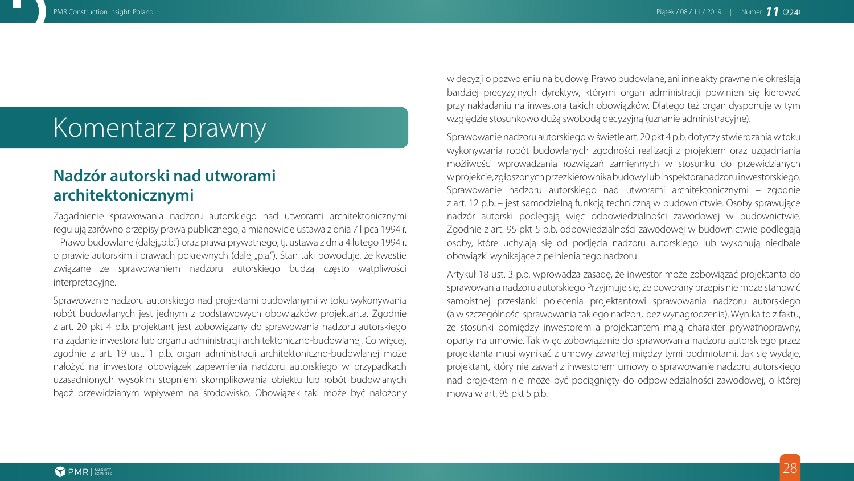## Komentarz prawny

## **Nadzór autorski nad utworami architektonicznymi**

Zagadnienie sprawowania nadzoru autorskiego nad utworami architektonicznymi regulują zarówno przepisy prawa publicznego, a mianowicie ustawa z dnia 7 lipca 1994 r. – Prawo budowlane (dalej "p.b.") oraz prawa prywatnego, tj. ustawa z dnia 4 lutego 1994 r. o prawie autorskim i prawach pokrewnych (dalej "p.a."). Stan taki powoduje, że kwestie związane ze sprawowaniem nadzoru autorskiego budzą często wątpliwości interpretacyjne.

Sprawowanie nadzoru autorskiego nad projektami budowlanymi w toku wykonywania robót budowlanych jest jednym z podstawowych obowiązków projektanta. Zgodnie z art. 20 pkt 4 p.b. projektant jest zobowiązany do sprawowania nadzoru autorskiego na żądanie inwestora lub organu administracji architektoniczno-budowlanej. Co więcej, zgodnie z art. 19 ust. 1 p.b. organ administracji architektoniczno-budowlanej może nałożyć na inwestora obowiązek zapewnienia nadzoru autorskiego w przypadkach uzasadnionych wysokim stopniem skomplikowania obiektu lub robót budowlanych bądź przewidzianym wpływem na środowisko. Obowiązek taki może być nałożony w decyzji o pozwoleniu na budowę. Prawo budowlane, ani inne akty prawne nie określają bardziej precyzyjnych dyrektyw, którymi organ administracji powinien się kierować przy nakładaniu na inwestora takich obowiązków. Dlatego też organ dysponuje w tym względzie stosunkowo dużą swobodą decyzyjną (uznanie administracyjne).

Sprawowanie nadzoru autorskiego w świetle art. 20 pkt 4 p.b. dotyczy stwierdzania w toku wykonywania robót budowlanych zgodności realizacji z projektem oraz uzgadniania możliwości wprowadzania rozwiązań zamiennych w stosunku do przewidzianych w projekcie, zgłoszonych przez kierownika budowy lub inspektora nadzoru inwestorskiego. Sprawowanie nadzoru autorskiego nad utworami architektonicznymi – zgodnie z art. 12 p.b. – jest samodzielną funkcją techniczną w budownictwie. Osoby sprawujące nadzór autorski podlegają więc odpowiedzialności zawodowej w budownictwie. Zgodnie z art. 95 pkt 5 p.b. odpowiedzialności zawodowej w budownictwie podlegają osoby, które uchylają się od podjęcia nadzoru autorskiego lub wykonują niedbale obowiązki wynikające z pełnienia tego nadzoru.

Artykuł 18 ust. 3 p.b. wprowadza zasadę, że inwestor może zobowiązać projektanta do sprawowania nadzoru autorskiego Przyjmuje się, że powołany przepis nie może stanowić samoistnej przesłanki polecenia projektantowi sprawowania nadzoru autorskiego (a w szczególności sprawowania takiego nadzoru bez wynagrodzenia). Wynika to z faktu, że stosunki pomiędzy inwestorem a projektantem mają charakter prywatnoprawny, oparty na umowie. Tak więc zobowiązanie do sprawowania nadzoru autorskiego przez projektanta musi wynikać z umowy zawartej między tymi podmiotami. Jak się wydaje, projektant, który nie zawarł z inwestorem umowy o sprawowanie nadzoru autorskiego nad projektem nie może być pociągnięty do odpowiedzialności zawodowej, o której mowa w art. 95 pkt 5 p.b.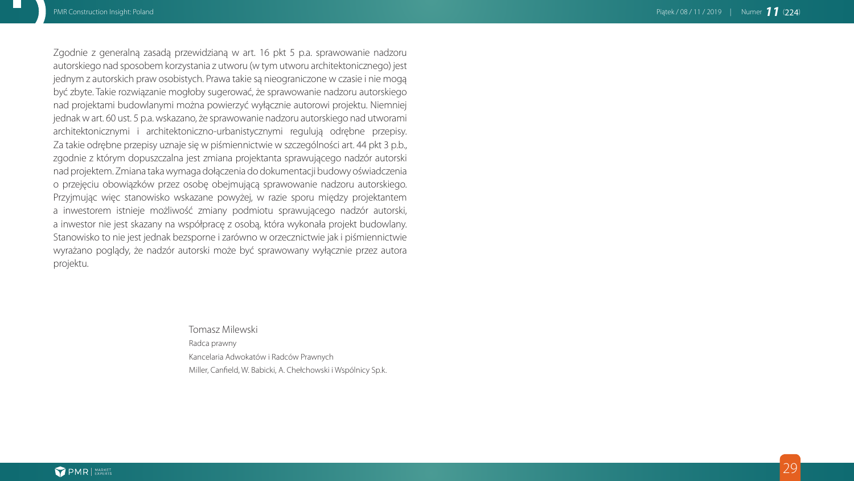Zgodnie z generalną zasadą przewidzianą w art. 16 pkt 5 p.a. sprawowanie nadzoru autorskiego nad sposobem korzystania z utworu (w tym utworu architektonicznego) jest jednym z autorskich praw osobistych. Prawa takie są nieograniczone w czasie i nie mogą być zbyte. Takie rozwiązanie mogłoby sugerować, że sprawowanie nadzoru autorskiego nad projektami budowlanymi można powierzyć wyłącznie autorowi projektu. Niemniej jednak w art. 60 ust. 5 p.a. wskazano, że sprawowanie nadzoru autorskiego nad utworami architektonicznymi i architektoniczno-urbanistycznymi regulują odrębne przepisy. Za takie odrębne przepisy uznaje się w piśmiennictwie w szczególności art. 44 pkt 3 p.b., zgodnie z którym dopuszczalna jest zmiana projektanta sprawującego nadzór autorski nad projektem. Zmiana taka wymaga dołączenia do dokumentacji budowy oświadczenia o przejęciu obowiązków przez osobę obejmującą sprawowanie nadzoru autorskiego. Przyjmując więc stanowisko wskazane powyżej, w razie sporu między projektantem a inwestorem istnieje możliwość zmiany podmiotu sprawującego nadzór autorski, a inwestor nie jest skazany na współpracę z osobą, która wykonała projekt budowlany. Stanowisko to nie jest jednak bezsporne i zarówno w orzecznictwie jak i piśmiennictwie wyrażano poglądy, że nadzór autorski może być sprawowany wyłącznie przez autora projektu.

> Tomasz Milewski Radca prawny Kancelaria Adwokatów i Radców Prawnych Miller, Canfield, W. Babicki, A. Chełchowski i Wspólnicy Sp.k.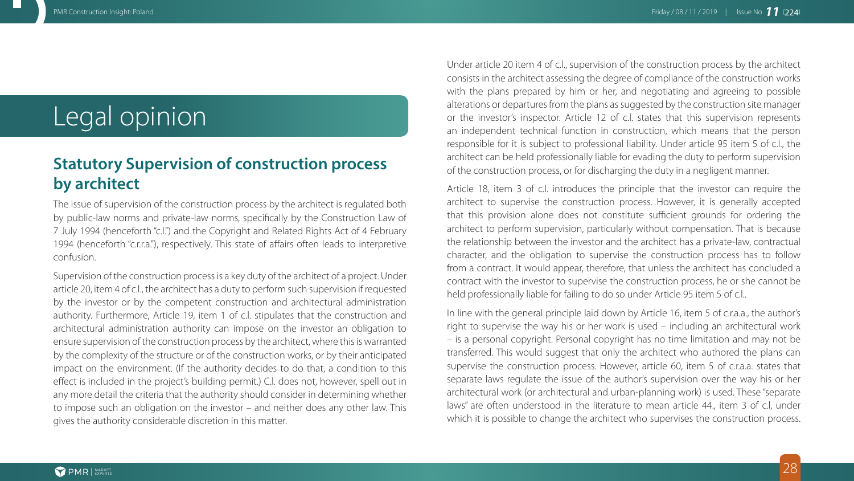## Legal opinion

## **Statutory Supervision of construction process by architect**

The issue of supervision of the construction process by the architect is regulated both by public-law norms and private-law norms, specifically by the Construction Law of 7 July 1994 (henceforth "c.l.") and the Copyright and Related Rights Act of 4 February 1994 (henceforth "c.r.r.a."), respectively. This state of affairs often leads to interpretive confusion.

Supervision of the construction process is a key duty of the architect of a project. Under article 20, item 4 of c.l., the architect has a duty to perform such supervision if requested by the investor or by the competent construction and architectural administration authority. Furthermore, Article 19, item 1 of c.l. stipulates that the construction and architectural administration authority can impose on the investor an obligation to ensure supervision of the construction process by the architect, where this is warranted by the complexity of the structure or of the construction works, or by their anticipated impact on the environment. (If the authority decides to do that, a condition to this effect is included in the project's building permit.) C.l. does not, however, spell out in any more detail the criteria that the authority should consider in determining whether to impose such an obligation on the investor – and neither does any other law. This gives the authority considerable discretion in this matter.

Under article 20 item 4 of c.l., supervision of the construction process by the architect consists in the architect assessing the degree of compliance of the construction works with the plans prepared by him or her, and negotiating and agreeing to possible alterations or departures from the plans as suggested by the construction site manager or the investor's inspector. Article 12 of c.l. states that this supervision represents an independent technical function in construction, which means that the person responsible for it is subject to professional liability. Under article 95 item 5 of c.l., the architect can be held professionally liable for evading the duty to perform supervision of the construction process, or for discharging the duty in a negligent manner.

Article 18, item 3 of c.l. introduces the principle that the investor can require the architect to supervise the construction process. However, it is generally accepted that this provision alone does not constitute sufficient grounds for ordering the architect to perform supervision, particularly without compensation. That is because the relationship between the investor and the architect has a private-law, contractual character, and the obligation to supervise the construction process has to follow from a contract. It would appear, therefore, that unless the architect has concluded a contract with the investor to supervise the construction process, he or she cannot be held professionally liable for failing to do so under Article 95 item 5 of c.l..

In line with the general principle laid down by Article 16, item 5 of c.r.a.a., the author's right to supervise the way his or her work is used – including an architectural work – is a personal copyright. Personal copyright has no time limitation and may not be transferred. This would suggest that only the architect who authored the plans can supervise the construction process. However, article 60, item 5 of c.r.a.a. states that separate laws regulate the issue of the author's supervision over the way his or her architectural work (or architectural and urban-planning work) is used. These "separate laws" are often understood in the literature to mean article 44., item 3 of c.l, under which it is possible to change the architect who supervises the construction process.